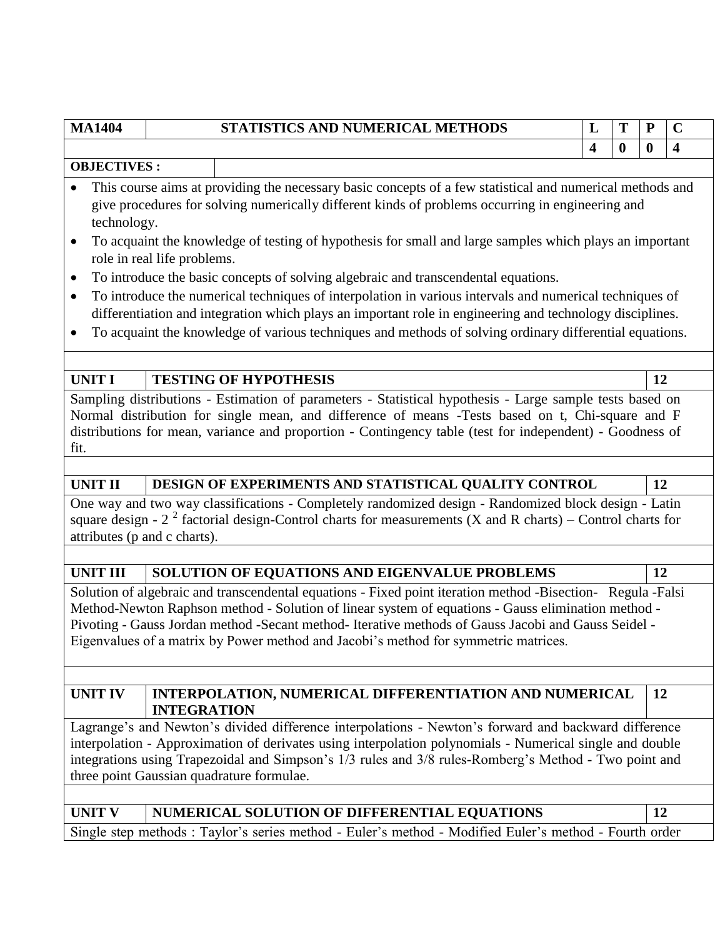| .                  |                             | 91.111911C9 ARD ROMENICAL METHODS                                                                         |   |              |    |   |
|--------------------|-----------------------------|-----------------------------------------------------------------------------------------------------------|---|--------------|----|---|
|                    |                             |                                                                                                           | 4 | $\mathbf{0}$ | 0  | 4 |
| <b>OBJECTIVES:</b> |                             |                                                                                                           |   |              |    |   |
|                    |                             | This course aims at providing the necessary basic concepts of a few statistical and numerical methods and |   |              |    |   |
|                    |                             | give procedures for solving numerically different kinds of problems occurring in engineering and          |   |              |    |   |
| technology.        |                             |                                                                                                           |   |              |    |   |
| $\bullet$          |                             | To acquaint the knowledge of testing of hypothesis for small and large samples which plays an important   |   |              |    |   |
|                    | role in real life problems. |                                                                                                           |   |              |    |   |
| $\bullet$          |                             | To introduce the basic concepts of solving algebraic and transcendental equations.                        |   |              |    |   |
| $\bullet$          |                             | To introduce the numerical techniques of interpolation in various intervals and numerical techniques of   |   |              |    |   |
|                    |                             | differentiation and integration which plays an important role in engineering and technology disciplines.  |   |              |    |   |
|                    |                             | To acquaint the knowledge of various techniques and methods of solving ordinary differential equations.   |   |              |    |   |
|                    |                             |                                                                                                           |   |              |    |   |
| <b>UNIT I</b>      |                             | <b>TESTING OF HYPOTHESIS</b>                                                                              |   |              | 12 |   |
|                    |                             | Sampling distributions - Estimation of parameters - Statistical hypothesis - Large sample tests based on  |   |              |    |   |
|                    |                             | Normal distribution for single mean, and difference of means -Tests based on t, Chi-square and F          |   |              |    |   |
|                    |                             | distributions for mean, variance and proportion - Contingency table (test for independent) - Goodness of  |   |              |    |   |
| fit.               |                             |                                                                                                           |   |              |    |   |
|                    |                             |                                                                                                           |   |              |    |   |
| <b>UNIT II</b>     |                             | DESIGN OF EXPERIMENTS AND STATISTICAL QUALITY CONTROL                                                     |   |              | 12 |   |
|                    |                             | One way and two way classifications - Completely randomized design - Randomized block design - Latin      |   |              |    |   |
|                    |                             |                                                                                                           |   |              |    |   |

**MA1404 STATISTICS AND NUMERICAL METHODS L T P C**

square design -  $2^2$  factorial design-Control charts for measurements (X and R charts) – Control charts for attributes (p and c charts).

# UNIT III SOLUTION OF EQUATIONS AND EIGENVALUE PROBLEMS 12

Solution of algebraic and transcendental equations - Fixed point iteration method -Bisection- Regula -Falsi Method-Newton Raphson method - Solution of linear system of equations - Gauss elimination method - Pivoting - Gauss Jordan method -Secant method- Iterative methods of Gauss Jacobi and Gauss Seidel - Eigenvalues of a matrix by Power method and Jacobi"s method for symmetric matrices.

**UNIT IV INTERPOLATION, NUMERICAL DIFFERENTIATION AND NUMERICAL INTEGRATION**

Lagrange's and Newton's divided difference interpolations - Newton's forward and backward difference interpolation - Approximation of derivates using interpolation polynomials - Numerical single and double integrations using Trapezoidal and Simpson's 1/3 rules and 3/8 rules-Romberg's Method - Two point and three point Gaussian quadrature formulae.

UNIT V | NUMERICAL SOLUTION OF DIFFERENTIAL EQUATIONS | 12

**12**

Single step methods : Taylor's series method - Euler's method - Modified Euler's method - Fourth order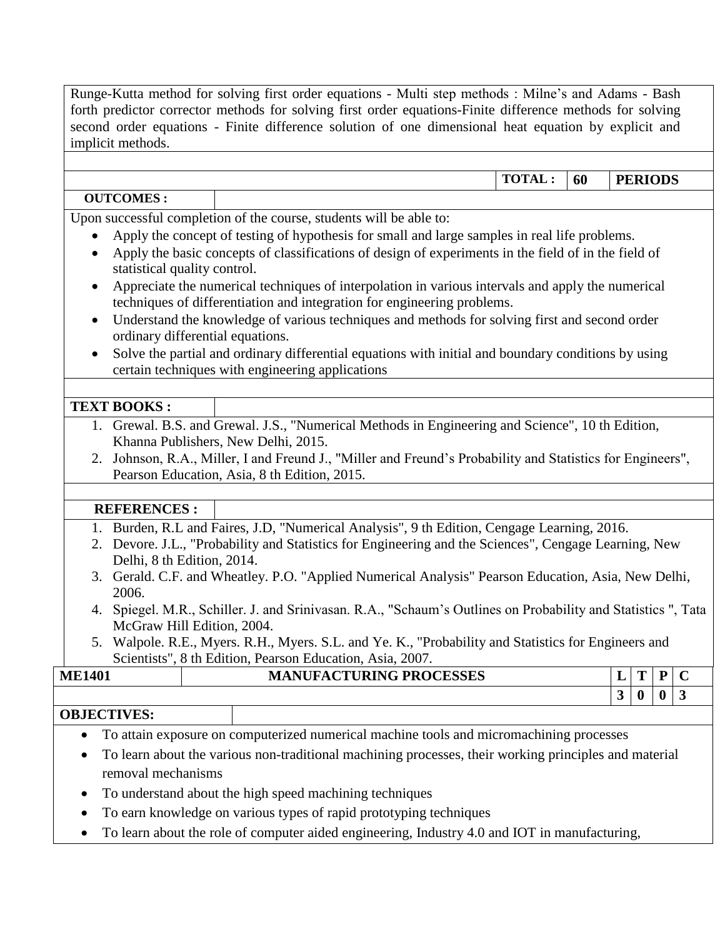Runge-Kutta method for solving first order equations - Multi step methods : Milne"s and Adams - Bash forth predictor corrector methods for solving first order equations-Finite difference methods for solving second order equations - Finite difference solution of one dimensional heat equation by explicit and implicit methods.

**TOTAL : 60 PERIODS**

### **OUTCOMES :**

Upon successful completion of the course, students will be able to:

- Apply the concept of testing of hypothesis for small and large samples in real life problems.
- Apply the basic concepts of classifications of design of experiments in the field of in the field of statistical quality control.
- Appreciate the numerical techniques of interpolation in various intervals and apply the numerical techniques of differentiation and integration for engineering problems.
- Understand the knowledge of various techniques and methods for solving first and second order ordinary differential equations.
- Solve the partial and ordinary differential equations with initial and boundary conditions by using certain techniques with engineering applications

### **TEXT BOOKS :**

- 1. Grewal. B.S. and Grewal. J.S., "Numerical Methods in Engineering and Science", 10 th Edition, Khanna Publishers, New Delhi, 2015.
- 2. Johnson, R.A., Miller, I and Freund J., "Miller and Freund"s Probability and Statistics for Engineers", Pearson Education, Asia, 8 th Edition, 2015.

### **REFERENCES :**

- 1. Burden, R.L and Faires, J.D, "Numerical Analysis", 9 th Edition, Cengage Learning, 2016.
- 2. Devore. J.L., "Probability and Statistics for Engineering and the Sciences", Cengage Learning, New Delhi, 8 th Edition, 2014.
- 3. Gerald. C.F. and Wheatley. P.O. "Applied Numerical Analysis" Pearson Education, Asia, New Delhi, 2006.
- 4. Spiegel. M.R., Schiller. J. and Srinivasan. R.A., "Schaum"s Outlines on Probability and Statistics ", Tata McGraw Hill Edition, 2004.
- 5. Walpole. R.E., Myers. R.H., Myers. S.L. and Ye. K., "Probability and Statistics for Engineers and Scientists", 8 th Edition, Pearson Education, Asia, 2007.

| 1401<br><b>ME</b> | <b>UFACTURING PROCESSES</b><br>MА<br>'NL. | - |                  | D        |  |
|-------------------|-------------------------------------------|---|------------------|----------|--|
|                   |                                           | ູ | $\boldsymbol{0}$ | $\bf{0}$ |  |
| AD IRATURA        |                                           |   |                  |          |  |

### **OBJECTIVES:**

- To attain exposure on computerized numerical machine tools and micromachining processes
- To learn about the various non-traditional machining processes, their working principles and material removal mechanisms
- To understand about the high speed machining techniques
- To earn knowledge on various types of rapid prototyping techniques
- To learn about the role of computer aided engineering, Industry 4.0 and IOT in manufacturing,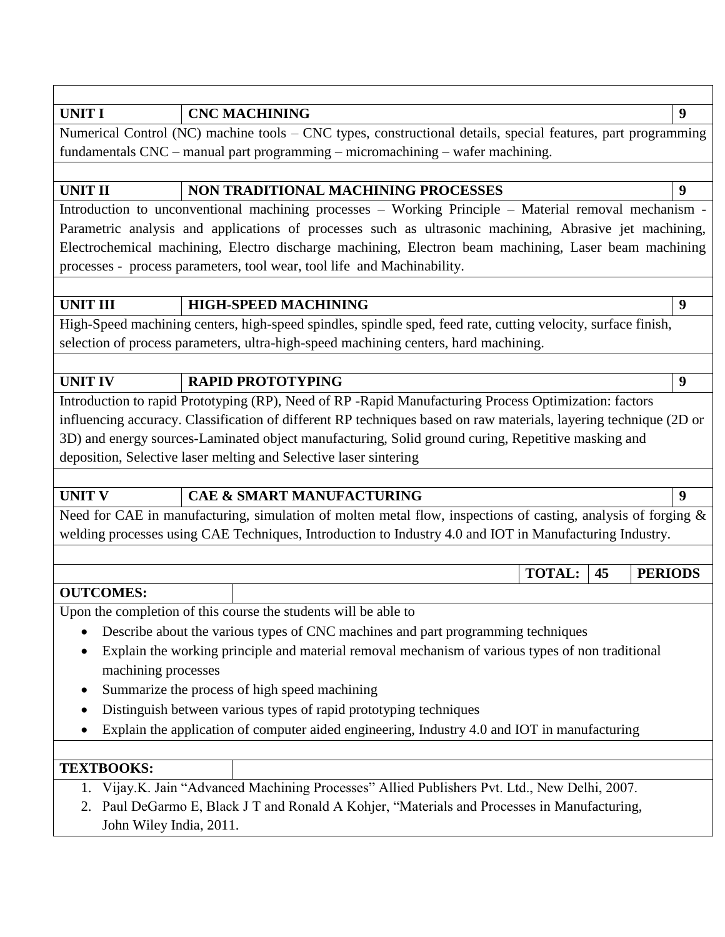## **UNIT I CNC MACHINING 9**

Numerical Control (NC) machine tools – CNC types, constructional details, special features, part programming fundamentals CNC – manual part programming – micromachining – wafer machining.

# UNIT II **NON TRADITIONAL MACHINING PROCESSES** 9

Introduction to unconventional machining processes – Working Principle – Material removal mechanism - Parametric analysis and applications of processes such as ultrasonic machining, Abrasive jet machining, Electrochemical machining, Electro discharge machining, Electron beam machining, Laser beam machining processes - process parameters, tool wear, tool life and Machinability.

### **UNIT III HIGH-SPEED MACHINING 9**

High-Speed machining centers, high-speed spindles, spindle sped, feed rate, cutting velocity, surface finish, selection of process parameters, ultra-high-speed machining centers, hard machining.

## **UNIT IV RAPID PROTOTYPING 9**

Introduction to rapid Prototyping (RP), Need of RP -Rapid Manufacturing Process Optimization: factors influencing accuracy. Classification of different RP techniques based on raw materials, layering technique (2D or 3D) and energy sources-Laminated object manufacturing, Solid ground curing, Repetitive masking and deposition, Selective laser melting and Selective laser sintering

## **UNIT V CAE & SMART MANUFACTURING 9**

Need for CAE in manufacturing, simulation of molten metal flow, inspections of casting, analysis of forging & welding processes using CAE Techniques, Introduction to Industry 4.0 and IOT in Manufacturing Industry.

**TOTAL: 45 PERIODS**

## **OUTCOMES:**

Upon the completion of this course the students will be able to

- Describe about the various types of CNC machines and part programming techniques
- Explain the working principle and material removal mechanism of various types of non traditional machining processes
- Summarize the process of high speed machining
- Distinguish between various types of rapid prototyping techniques
- Explain the application of computer aided engineering, Industry 4.0 and IOT in manufacturing

## **TEXTBOOKS:**

- 1. Vijay.K. Jain "Advanced Machining Processes" Allied Publishers Pvt. Ltd., New Delhi, 2007.
- 2. Paul DeGarmo E, Black J T and Ronald A Kohjer, "Materials and Processes in Manufacturing, John Wiley India, 2011.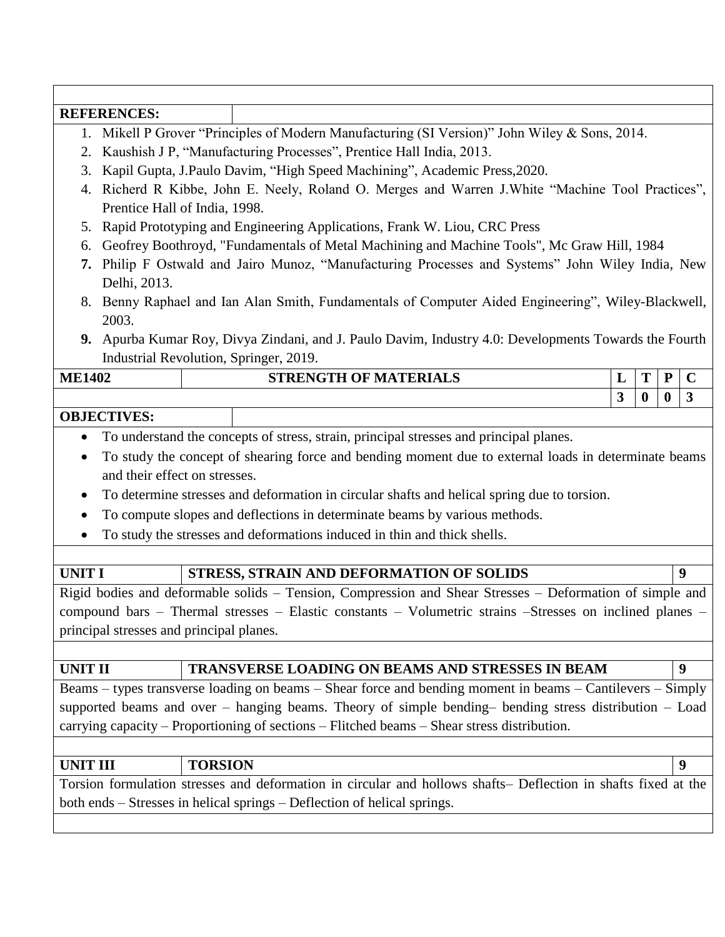|                                                                                                  | <b>REFERENCES:</b>                                                                                             |   |              |              |                         |  |  |  |
|--------------------------------------------------------------------------------------------------|----------------------------------------------------------------------------------------------------------------|---|--------------|--------------|-------------------------|--|--|--|
| Mikell P Grover "Principles of Modern Manufacturing (SI Version)" John Wiley & Sons, 2014.<br>1. |                                                                                                                |   |              |              |                         |  |  |  |
| 2.                                                                                               | Kaushish J P, "Manufacturing Processes", Prentice Hall India, 2013.                                            |   |              |              |                         |  |  |  |
| 3.                                                                                               | Kapil Gupta, J.Paulo Davim, "High Speed Machining", Academic Press, 2020.                                      |   |              |              |                         |  |  |  |
| 4.                                                                                               | Richerd R Kibbe, John E. Neely, Roland O. Merges and Warren J. White "Machine Tool Practices",                 |   |              |              |                         |  |  |  |
|                                                                                                  | Prentice Hall of India, 1998.                                                                                  |   |              |              |                         |  |  |  |
| 5.                                                                                               | Rapid Prototyping and Engineering Applications, Frank W. Liou, CRC Press                                       |   |              |              |                         |  |  |  |
| 6.                                                                                               | Geofrey Boothroyd, "Fundamentals of Metal Machining and Machine Tools", Mc Graw Hill, 1984                     |   |              |              |                         |  |  |  |
| 7.                                                                                               | Philip F Ostwald and Jairo Munoz, "Manufacturing Processes and Systems" John Wiley India, New<br>Delhi, 2013.  |   |              |              |                         |  |  |  |
|                                                                                                  | 8. Benny Raphael and Ian Alan Smith, Fundamentals of Computer Aided Engineering", Wiley-Blackwell,<br>2003.    |   |              |              |                         |  |  |  |
|                                                                                                  | 9. Apurba Kumar Roy, Divya Zindani, and J. Paulo Davim, Industry 4.0: Developments Towards the Fourth          |   |              |              |                         |  |  |  |
|                                                                                                  | Industrial Revolution, Springer, 2019.                                                                         |   |              |              |                         |  |  |  |
| <b>ME1402</b>                                                                                    | <b>STRENGTH OF MATERIALS</b>                                                                                   | L | T            | ${\bf P}$    | $\mathbf C$             |  |  |  |
|                                                                                                  |                                                                                                                | 3 | $\mathbf{0}$ | $\mathbf{0}$ | $\overline{\mathbf{3}}$ |  |  |  |
|                                                                                                  | <b>OBJECTIVES:</b>                                                                                             |   |              |              |                         |  |  |  |
| $\bullet$                                                                                        | To understand the concepts of stress, strain, principal stresses and principal planes.                         |   |              |              |                         |  |  |  |
| $\bullet$                                                                                        | To study the concept of shearing force and bending moment due to external loads in determinate beams           |   |              |              |                         |  |  |  |
|                                                                                                  | and their effect on stresses.                                                                                  |   |              |              |                         |  |  |  |
| $\bullet$                                                                                        | To determine stresses and deformation in circular shafts and helical spring due to torsion.                    |   |              |              |                         |  |  |  |
| $\bullet$                                                                                        | To compute slopes and deflections in determinate beams by various methods.                                     |   |              |              |                         |  |  |  |
|                                                                                                  | To study the stresses and deformations induced in thin and thick shells.                                       |   |              |              |                         |  |  |  |
|                                                                                                  |                                                                                                                |   |              |              |                         |  |  |  |
| <b>UNIT I</b>                                                                                    | STRESS, STRAIN AND DEFORMATION OF SOLIDS                                                                       |   |              |              | 9                       |  |  |  |
|                                                                                                  | Rigid bodies and deformable solids - Tension, Compression and Shear Stresses - Deformation of simple and       |   |              |              |                         |  |  |  |
|                                                                                                  | compound bars – Thermal stresses – Elastic constants – Volumetric strains –Stresses on inclined planes –       |   |              |              |                         |  |  |  |
|                                                                                                  | principal stresses and principal planes.                                                                       |   |              |              |                         |  |  |  |
|                                                                                                  |                                                                                                                |   |              |              |                         |  |  |  |
| <b>UNIT II</b>                                                                                   | <b>TRANSVERSE LOADING ON BEAMS AND STRESSES IN BEAM</b>                                                        |   |              |              | 9                       |  |  |  |
|                                                                                                  | Beams – types transverse loading on beams – Shear force and bending moment in beams – Cantilevers – Simply     |   |              |              |                         |  |  |  |
|                                                                                                  | supported beams and over - hanging beams. Theory of simple bending- bending stress distribution - Load         |   |              |              |                         |  |  |  |
|                                                                                                  | carrying capacity – Proportioning of sections – Flitched beams – Shear stress distribution.                    |   |              |              |                         |  |  |  |
|                                                                                                  |                                                                                                                |   |              |              |                         |  |  |  |
| <b>UNIT III</b>                                                                                  | <b>TORSION</b>                                                                                                 |   |              |              | 9                       |  |  |  |
|                                                                                                  | Torsion formulation stresses and deformation in circular and hollows shafts– Deflection in shafts fixed at the |   |              |              |                         |  |  |  |
|                                                                                                  | both ends – Stresses in helical springs – Deflection of helical springs.                                       |   |              |              |                         |  |  |  |
|                                                                                                  |                                                                                                                |   |              |              |                         |  |  |  |
|                                                                                                  |                                                                                                                |   |              |              |                         |  |  |  |
|                                                                                                  |                                                                                                                |   |              |              |                         |  |  |  |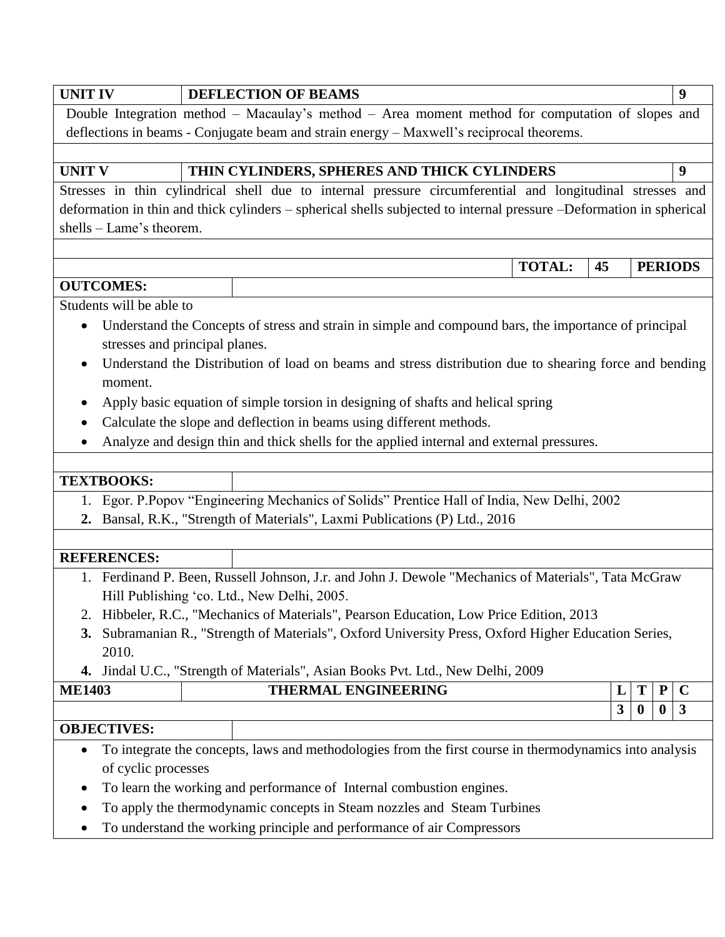| <b>UNIT IV</b>           | <b>DEFLECTION OF BEAMS</b>                                                                                          |              |                         | 9              |
|--------------------------|---------------------------------------------------------------------------------------------------------------------|--------------|-------------------------|----------------|
|                          | Double Integration method - Macaulay's method - Area moment method for computation of slopes and                    |              |                         |                |
|                          | deflections in beams - Conjugate beam and strain energy - Maxwell's reciprocal theorems.                            |              |                         |                |
|                          |                                                                                                                     |              |                         |                |
| <b>UNIT V</b>            | THIN CYLINDERS, SPHERES AND THICK CYLINDERS                                                                         |              |                         | 9              |
|                          | Stresses in thin cylindrical shell due to internal pressure circumferential and longitudinal stresses and           |              |                         |                |
|                          | deformation in thin and thick cylinders - spherical shells subjected to internal pressure -Deformation in spherical |              |                         |                |
| shells – Lame's theorem. |                                                                                                                     |              |                         |                |
|                          |                                                                                                                     |              |                         |                |
|                          | <b>TOTAL:</b>                                                                                                       | 45           |                         | <b>PERIODS</b> |
| <b>OUTCOMES:</b>         |                                                                                                                     |              |                         |                |
| Students will be able to |                                                                                                                     |              |                         |                |
| $\bullet$                | Understand the Concepts of stress and strain in simple and compound bars, the importance of principal               |              |                         |                |
|                          | stresses and principal planes.                                                                                      |              |                         |                |
| moment.                  | Understand the Distribution of load on beams and stress distribution due to shearing force and bending              |              |                         |                |
| $\bullet$                | Apply basic equation of simple torsion in designing of shafts and helical spring                                    |              |                         |                |
|                          | Calculate the slope and deflection in beams using different methods.                                                |              |                         |                |
|                          | Analyze and design thin and thick shells for the applied internal and external pressures.                           |              |                         |                |
|                          |                                                                                                                     |              |                         |                |
| <b>TEXTBOOKS:</b>        |                                                                                                                     |              |                         |                |
| 1.                       | Egor. P.Popov "Engineering Mechanics of Solids" Prentice Hall of India, New Delhi, 2002                             |              |                         |                |
|                          | 2. Bansal, R.K., "Strength of Materials", Laxmi Publications (P) Ltd., 2016                                         |              |                         |                |
|                          |                                                                                                                     |              |                         |                |
| <b>REFERENCES:</b>       |                                                                                                                     |              |                         |                |
|                          | 1. Ferdinand P. Been, Russell Johnson, J.r. and John J. Dewole "Mechanics of Materials", Tata McGraw                |              |                         |                |
|                          | Hill Publishing 'co. Ltd., New Delhi, 2005.                                                                         |              |                         |                |
|                          | Hibbeler, R.C., "Mechanics of Materials", Pearson Education, Low Price Edition, 2013                                |              |                         |                |
|                          | 3. Subramanian R., "Strength of Materials", Oxford University Press, Oxford Higher Education Series,                |              |                         |                |
| 2010.                    |                                                                                                                     |              |                         |                |
|                          | Jindal U.C., "Strength of Materials", Asian Books Pvt. Ltd., New Delhi, 2009                                        |              |                         |                |
| <b>ME1403</b>            | THERMAL ENGINEERING                                                                                                 | L            | ${\bf P}$<br>Т          | $\mathbf C$    |
|                          |                                                                                                                     | $\mathbf{3}$ | $\bf{0}$<br>$\mathbf 0$ | 3              |
| <b>OBJECTIVES:</b>       |                                                                                                                     |              |                         |                |
| of cyclic processes      | To integrate the concepts, laws and methodologies from the first course in thermodynamics into analysis             |              |                         |                |
|                          | To learn the working and performance of Internal combustion engines.                                                |              |                         |                |
|                          |                                                                                                                     |              |                         |                |
|                          | To apply the thermodynamic concepts in Steam nozzles and Steam Turbines                                             |              |                         |                |
|                          | To understand the working principle and performance of air Compressors                                              |              |                         |                |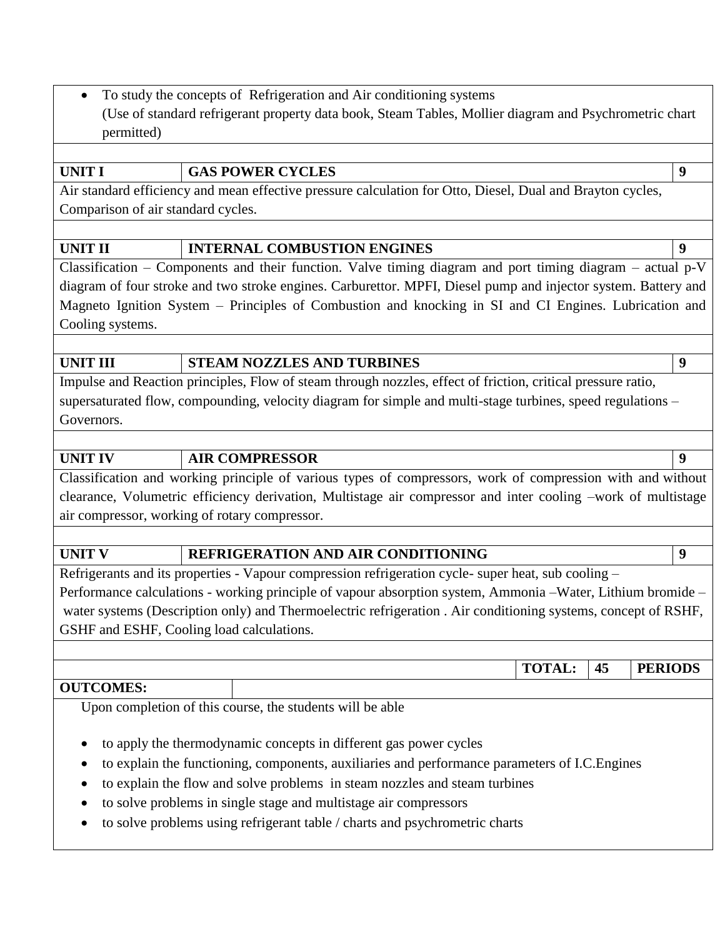• To study the concepts of Refrigeration and Air conditioning systems (Use of standard refrigerant property data book, Steam Tables, Mollier diagram and Psychrometric chart permitted)

### **UNIT I GAS POWER CYCLES 9**

Air standard efficiency and mean effective pressure calculation for Otto, Diesel, Dual and Brayton cycles, Comparison of air standard cycles.

### **UNIT II INTERNAL COMBUSTION ENGINES 9**

Classification – Components and their function. Valve timing diagram and port timing diagram – actual p-V diagram of four stroke and two stroke engines. Carburettor. MPFI, Diesel pump and injector system. Battery and Magneto Ignition System – Principles of Combustion and knocking in SI and CI Engines. Lubrication and Cooling systems.

### **UNIT III STEAM NOZZLES AND TURBINES 9**

Impulse and Reaction principles, Flow of steam through nozzles, effect of friction, critical pressure ratio, supersaturated flow, compounding, velocity diagram for simple and multi-stage turbines, speed regulations – Governors.

### **UNIT IV AIR COMPRESSOR 9**

Classification and working principle of various types of compressors, work of compression with and without clearance, Volumetric efficiency derivation, Multistage air compressor and inter cooling –work of multistage air compressor, working of rotary compressor.

## **UNIT V REFRIGERATION AND AIR CONDITIONING 9**

Refrigerants and its properties - Vapour compression refrigeration cycle- super heat, sub cooling –

Performance calculations - working principle of vapour absorption system, Ammonia –Water, Lithium bromide – water systems (Description only) and Thermoelectric refrigeration . Air conditioning systems, concept of RSHF, GSHF and ESHF, Cooling load calculations.

**TOTAL: 45 PERIODS**

## **OUTCOMES:**

Upon completion of this course, the students will be able

- to apply the thermodynamic concepts in different gas power cycles
- to explain the functioning, components, auxiliaries and performance parameters of I.C.Engines
- to explain the flow and solve problems in steam nozzles and steam turbines
- to solve problems in single stage and multistage air compressors
- to solve problems using refrigerant table / charts and psychrometric charts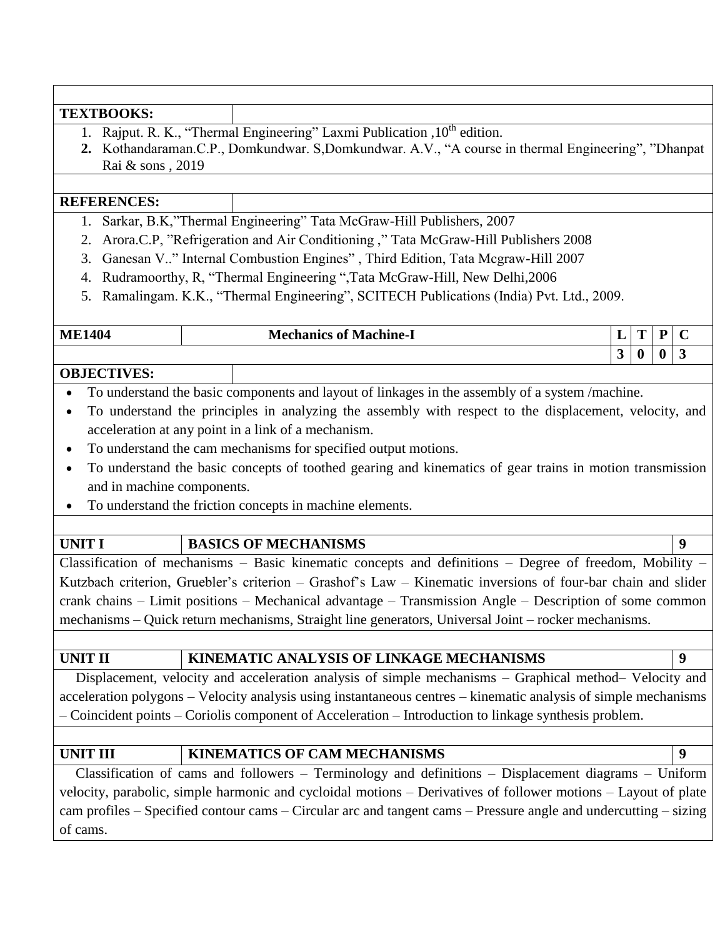| <b>TEXTBOOKS:</b>          |                                                                                                                 |                            |                          |
|----------------------------|-----------------------------------------------------------------------------------------------------------------|----------------------------|--------------------------|
| 1.                         | Rajput. R. K., "Thermal Engineering" Laxmi Publication , 10 <sup>th</sup> edition.                              |                            |                          |
| 2.                         | Kothandaraman.C.P., Domkundwar. S,Domkundwar. A.V., "A course in thermal Engineering", "Dhanpat                 |                            |                          |
| Rai & sons, 2019           |                                                                                                                 |                            |                          |
|                            |                                                                                                                 |                            |                          |
| <b>REFERENCES:</b>         |                                                                                                                 |                            |                          |
|                            | Sarkar, B.K,"Thermal Engineering" Tata McGraw-Hill Publishers, 2007                                             |                            |                          |
| 2.                         | Arora.C.P, "Refrigeration and Air Conditioning," Tata McGraw-Hill Publishers 2008                               |                            |                          |
| 3.                         | Ganesan V" Internal Combustion Engines", Third Edition, Tata Mcgraw-Hill 2007                                   |                            |                          |
| 4.                         | Rudramoorthy, R, "Thermal Engineering ", Tata McGraw-Hill, New Delhi, 2006                                      |                            |                          |
| 5.                         | Ramalingam. K.K., "Thermal Engineering", SCITECH Publications (India) Pvt. Ltd., 2009.                          |                            |                          |
|                            |                                                                                                                 |                            |                          |
| <b>ME1404</b>              | <b>Mechanics of Machine-I</b>                                                                                   | T<br>L                     | ${\bf P}$<br>$\mathbf C$ |
|                            |                                                                                                                 | 3 <sup>1</sup><br>$\bf{0}$ | 3<br>$\bf{0}$            |
| <b>OBJECTIVES:</b>         |                                                                                                                 |                            |                          |
|                            | To understand the basic components and layout of linkages in the assembly of a system /machine.                 |                            |                          |
| $\bullet$                  | To understand the principles in analyzing the assembly with respect to the displacement, velocity, and          |                            |                          |
|                            | acceleration at any point in a link of a mechanism.                                                             |                            |                          |
|                            | To understand the cam mechanisms for specified output motions.                                                  |                            |                          |
|                            | To understand the basic concepts of toothed gearing and kinematics of gear trains in motion transmission        |                            |                          |
| and in machine components. |                                                                                                                 |                            |                          |
|                            | To understand the friction concepts in machine elements.                                                        |                            |                          |
|                            |                                                                                                                 |                            |                          |
| <b>UNIT I</b>              | <b>BASICS OF MECHANISMS</b>                                                                                     |                            | 9                        |
|                            | Classification of mechanisms - Basic kinematic concepts and definitions - Degree of freedom, Mobility -         |                            |                          |
|                            | Kutzbach criterion, Gruebler's criterion - Grashof's Law - Kinematic inversions of four-bar chain and slider    |                            |                          |
|                            | crank chains – Limit positions – Mechanical advantage – Transmission Angle – Description of some common         |                            |                          |
|                            | mechanisms - Quick return mechanisms, Straight line generators, Universal Joint - rocker mechanisms.            |                            |                          |
|                            |                                                                                                                 |                            |                          |
| <b>UNIT II</b>             | KINEMATIC ANALYSIS OF LINKAGE MECHANISMS                                                                        |                            | $\boldsymbol{9}$         |
|                            | Displacement, velocity and acceleration analysis of simple mechanisms – Graphical method– Velocity and          |                            |                          |
|                            | acceleration polygons - Velocity analysis using instantaneous centres - kinematic analysis of simple mechanisms |                            |                          |

## UNIT III **KINEMATICS OF CAM MECHANISMS 9**

Classification of cams and followers – Terminology and definitions – Displacement diagrams – Uniform velocity, parabolic, simple harmonic and cycloidal motions – Derivatives of follower motions – Layout of plate cam profiles – Specified contour cams – Circular arc and tangent cams – Pressure angle and undercutting – sizing of cams.

– Coincident points – Coriolis component of Acceleration – Introduction to linkage synthesis problem.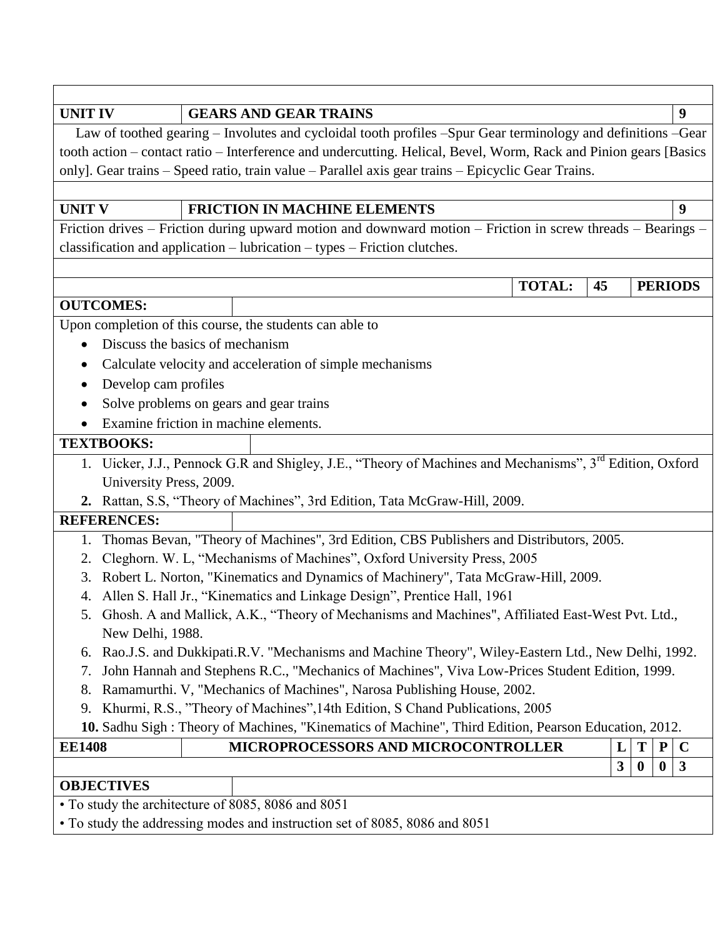| <b>UNIT IV</b>                                                                                                       | <b>GEARS AND GEAR TRAINS</b>        |  |               |    |   |           | 9              |
|----------------------------------------------------------------------------------------------------------------------|-------------------------------------|--|---------------|----|---|-----------|----------------|
| Law of toothed gearing - Involutes and cycloidal tooth profiles -Spur Gear terminology and definitions -Gear         |                                     |  |               |    |   |           |                |
| tooth action – contact ratio – Interference and undercutting. Helical, Bevel, Worm, Rack and Pinion gears [Basics    |                                     |  |               |    |   |           |                |
| only]. Gear trains - Speed ratio, train value - Parallel axis gear trains - Epicyclic Gear Trains.                   |                                     |  |               |    |   |           |                |
|                                                                                                                      |                                     |  |               |    |   |           |                |
| <b>UNIT V</b>                                                                                                        | <b>FRICTION IN MACHINE ELEMENTS</b> |  |               |    |   |           | 9              |
| Friction drives – Friction during upward motion and downward motion – Friction in screw threads – Bearings –         |                                     |  |               |    |   |           |                |
| classification and application - lubrication - types - Friction clutches.                                            |                                     |  |               |    |   |           |                |
|                                                                                                                      |                                     |  |               |    |   |           |                |
|                                                                                                                      |                                     |  | <b>TOTAL:</b> | 45 |   |           | <b>PERIODS</b> |
| <b>OUTCOMES:</b>                                                                                                     |                                     |  |               |    |   |           |                |
| Upon completion of this course, the students can able to                                                             |                                     |  |               |    |   |           |                |
| Discuss the basics of mechanism<br>٠                                                                                 |                                     |  |               |    |   |           |                |
| Calculate velocity and acceleration of simple mechanisms<br>$\bullet$                                                |                                     |  |               |    |   |           |                |
| Develop cam profiles                                                                                                 |                                     |  |               |    |   |           |                |
| Solve problems on gears and gear trains                                                                              |                                     |  |               |    |   |           |                |
| Examine friction in machine elements.                                                                                |                                     |  |               |    |   |           |                |
| <b>TEXTBOOKS:</b>                                                                                                    |                                     |  |               |    |   |           |                |
| 1. Uicker, J.J., Pennock G.R and Shigley, J.E., "Theory of Machines and Mechanisms", 3 <sup>rd</sup> Edition, Oxford |                                     |  |               |    |   |           |                |
| University Press, 2009.                                                                                              |                                     |  |               |    |   |           |                |
| 2. Rattan, S.S, "Theory of Machines", 3rd Edition, Tata McGraw-Hill, 2009.                                           |                                     |  |               |    |   |           |                |
| <b>REFERENCES:</b>                                                                                                   |                                     |  |               |    |   |           |                |
| Thomas Bevan, "Theory of Machines", 3rd Edition, CBS Publishers and Distributors, 2005.<br>1.                        |                                     |  |               |    |   |           |                |
| Cleghorn. W. L, "Mechanisms of Machines", Oxford University Press, 2005<br>2.                                        |                                     |  |               |    |   |           |                |
| Robert L. Norton, "Kinematics and Dynamics of Machinery", Tata McGraw-Hill, 2009.<br>3.                              |                                     |  |               |    |   |           |                |
| Allen S. Hall Jr., "Kinematics and Linkage Design", Prentice Hall, 1961<br>4.                                        |                                     |  |               |    |   |           |                |
| 5. Ghosh. A and Mallick, A.K., "Theory of Mechanisms and Machines", Affiliated East-West Pvt. Ltd.,                  |                                     |  |               |    |   |           |                |
| New Delhi, 1988.                                                                                                     |                                     |  |               |    |   |           |                |
| Rao.J.S. and Dukkipati.R.V. "Mechanisms and Machine Theory", Wiley-Eastern Ltd., New Delhi, 1992.<br>6.              |                                     |  |               |    |   |           |                |
| John Hannah and Stephens R.C., "Mechanics of Machines", Viva Low-Prices Student Edition, 1999.<br>7.                 |                                     |  |               |    |   |           |                |
| Ramamurthi. V, "Mechanics of Machines", Narosa Publishing House, 2002.<br>8.                                         |                                     |  |               |    |   |           |                |
| Khurmi, R.S., "Theory of Machines", 14th Edition, S Chand Publications, 2005<br>9.                                   |                                     |  |               |    |   |           |                |
| 10. Sadhu Sigh: Theory of Machines, "Kinematics of Machine", Third Edition, Pearson Education, 2012.                 |                                     |  |               |    |   |           |                |
| <b>EE1408</b>                                                                                                        | MICROPROCESSORS AND MICROCONTROLLER |  |               | L  | T | ${\bf P}$ | $\mathbf C$    |
|                                                                                                                      |                                     |  |               | 3  | 0 | $\bf{0}$  | $\mathbf{3}$   |
| <b>OBJECTIVES</b>                                                                                                    |                                     |  |               |    |   |           |                |
| • To study the architecture of 8085, 8086 and 8051                                                                   |                                     |  |               |    |   |           |                |
| • To study the addressing modes and instruction set of 8085, 8086 and 8051                                           |                                     |  |               |    |   |           |                |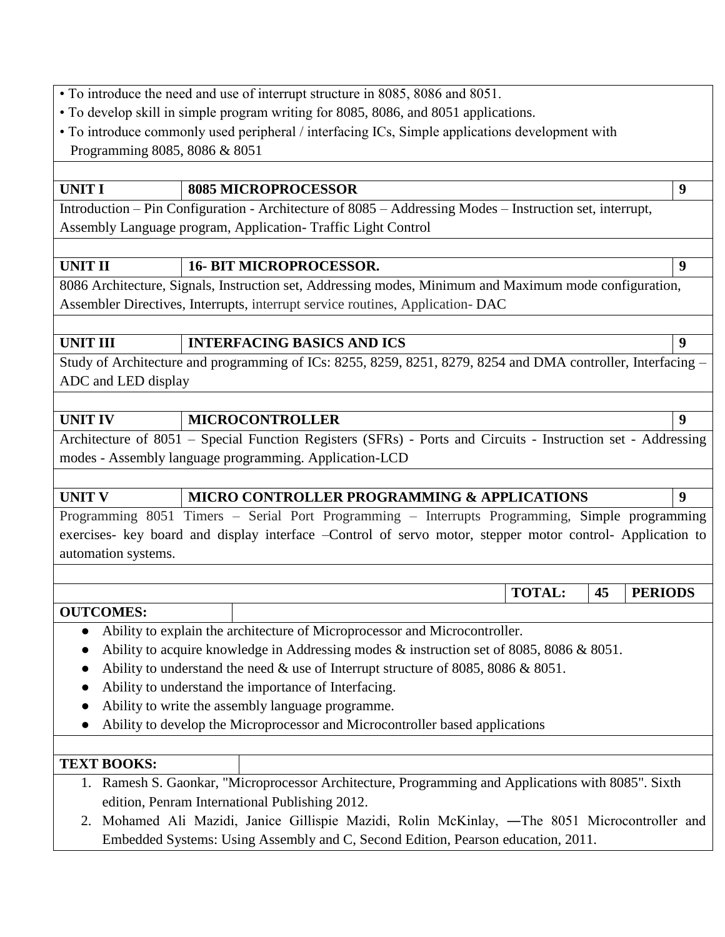• To introduce the need and use of interrupt structure in 8085, 8086 and 8051.

- To develop skill in simple program writing for 8085, 8086, and 8051 applications.
- To introduce commonly used peripheral / interfacing ICs, Simple applications development with Programming 8085, 8086 & 8051

## UNIT I 8085 MICROPROCESSOR 9

Introduction – Pin Configuration - Architecture of 8085 – Addressing Modes – Instruction set, interrupt, Assembly Language program, Application- Traffic Light Control

## UNIT II 16- BIT MICROPROCESSOR.

8086 Architecture, Signals, Instruction set, Addressing modes, Minimum and Maximum mode configuration, Assembler Directives, Interrupts, interrupt service routines, Application- DAC

## UNIT III INTERFACING BASICS AND ICS 9

Study of Architecture and programming of ICs: 8255, 8259, 8251, 8279, 8254 and DMA controller, Interfacing – ADC and LED display

### **UNIT IV MICROCONTROLLER 9**

Architecture of 8051 – Special Function Registers (SFRs) - Ports and Circuits - Instruction set - Addressing modes - Assembly language programming. Application-LCD

## UNIT V **MICRO CONTROLLER PROGRAMMING & APPLICATIONS** 9

Programming 8051 Timers – Serial Port Programming – Interrupts Programming, Simple programming exercises- key board and display interface –Control of servo motor, stepper motor control- Application to automation systems.

**OUTCOMES:** 

- Ability to explain the architecture of Microprocessor and Microcontroller.
- Ability to acquire knowledge in Addressing modes & instruction set of 8085, 8086 & 8051.
- Ability to understand the need & use of Interrupt structure of 8085, 8086 & 8051.
- Ability to understand the importance of Interfacing.
- Ability to write the assembly language programme.
- Ability to develop the Microprocessor and Microcontroller based applications

## **TEXT BOOKS:**

- 1. Ramesh S. Gaonkar, "Microprocessor Architecture, Programming and Applications with 8085". Sixth edition, Penram International Publishing 2012.
- 2. Mohamed Ali Mazidi, Janice Gillispie Mazidi, Rolin McKinlay, ―The 8051 Microcontroller and Embedded Systems: Using Assembly and C, Second Edition, Pearson education, 2011.

**TOTAL: 45 PERIODS**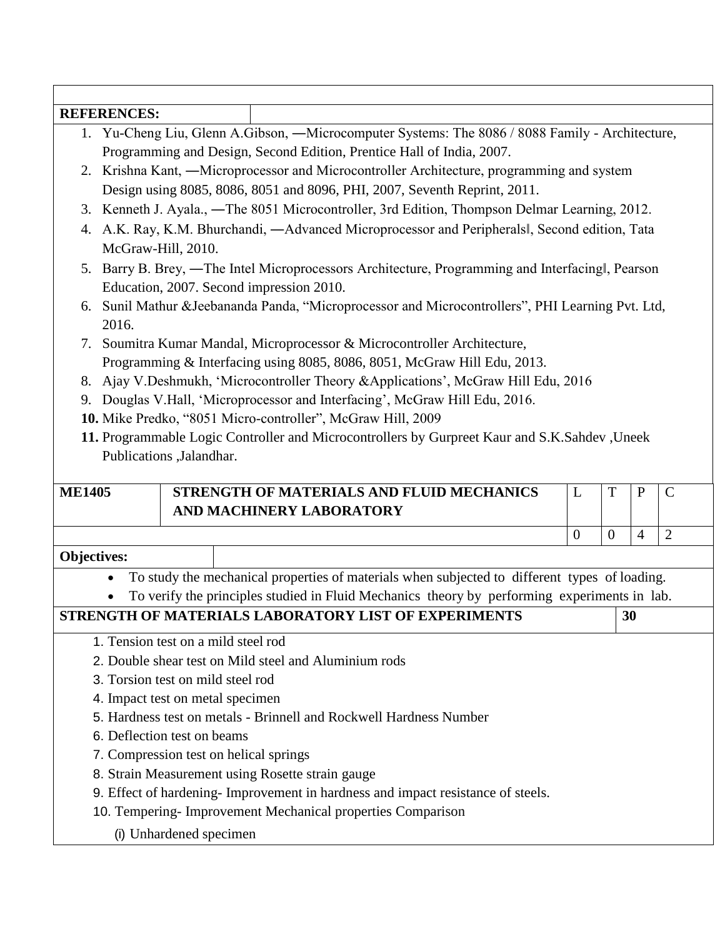### **REFERENCES:**

- 1. Yu-Cheng Liu, Glenn A.Gibson, ―Microcomputer Systems: The 8086 / 8088 Family Architecture, Programming and Design, Second Edition, Prentice Hall of India, 2007.
- 2. Krishna Kant, ―Microprocessor and Microcontroller Architecture, programming and system Design using 8085, 8086, 8051 and 8096, PHI, 2007, Seventh Reprint, 2011.
- 3. Kenneth J. Ayala., ―The 8051 Microcontroller, 3rd Edition, Thompson Delmar Learning, 2012.
- 4. A.K. Ray, K.M. Bhurchandi, ―Advanced Microprocessor and Peripherals‖, Second edition, Tata McGraw-Hill, 2010.
- 5. Barry B. Brey, ―The Intel Microprocessors Architecture, Programming and Interfacing‖, Pearson Education, 2007. Second impression 2010.
- 6. Sunil Mathur &Jeebananda Panda, "Microprocessor and Microcontrollers", PHI Learning Pvt. Ltd, 2016.

7. Soumitra Kumar Mandal, Microprocessor & Microcontroller Architecture, Programming & Interfacing using 8085, 8086, 8051, McGraw Hill Edu, 2013.

- 8. Ajay V.Deshmukh, 'Microcontroller Theory &Applications', McGraw Hill Edu, 2016
- 9. Douglas V.Hall, "Microprocessor and Interfacing", McGraw Hill Edu, 2016.
- **10.** Mike Predko, "8051 Micro-controller", McGraw Hill, 2009
- **11.** Programmable Logic Controller and Microcontrollers by Gurpreet Kaur and S.K.Sahdev ,Uneek Publications ,Jalandhar.

| <b>ME1405</b>      | STRENGTH OF MATERIALS AND FLUID MECHANICS<br>AND MACHINERY LABORATORY |  |  |
|--------------------|-----------------------------------------------------------------------|--|--|
|                    |                                                                       |  |  |
| <b>Objectives:</b> |                                                                       |  |  |

## To study the mechanical properties of materials when subjected to different types of loading.

To verify the principles studied in Fluid Mechanics theory by performing experiments in lab.

## **STRENGTH OF MATERIALS LABORATORY LIST OF EXPERIMENTS 30**

- 1. Tension test on a mild steel rod
- 2. Double shear test on Mild steel and Aluminium rods
- 3. Torsion test on mild steel rod
- 4. Impact test on metal specimen
- 5. Hardness test on metals Brinnell and Rockwell Hardness Number
- 6. Deflection test on beams
- 7. Compression test on helical springs
- 8. Strain Measurement using Rosette strain gauge
- 9. Effect of hardening- Improvement in hardness and impact resistance of steels.
- 10. Tempering- Improvement Mechanical properties Comparison

(i) Unhardened specimen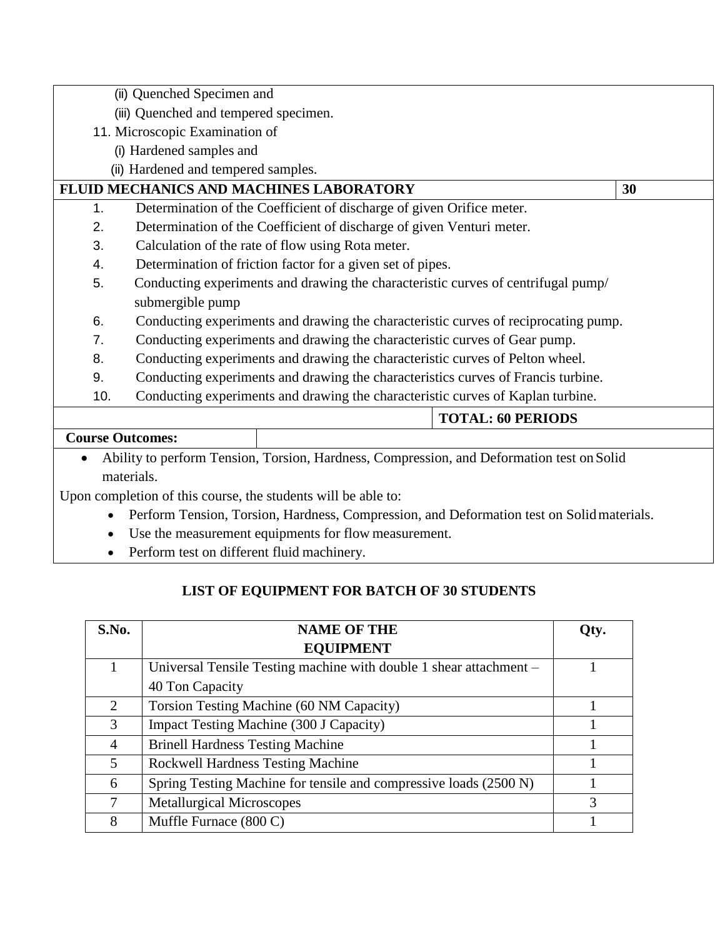| (ii) Quenched Specimen and                                                                |    |
|-------------------------------------------------------------------------------------------|----|
| (iii) Quenched and tempered specimen.                                                     |    |
| 11. Microscopic Examination of                                                            |    |
| (i) Hardened samples and                                                                  |    |
| (ii) Hardened and tempered samples.                                                       |    |
| FLUID MECHANICS AND MACHINES LABORATORY                                                   | 30 |
| Determination of the Coefficient of discharge of given Orifice meter.<br>1.               |    |
| Determination of the Coefficient of discharge of given Venturi meter.<br>2.               |    |
| 3.<br>Calculation of the rate of flow using Rota meter.                                   |    |
| Determination of friction factor for a given set of pipes.<br>4.                          |    |
| 5.<br>Conducting experiments and drawing the characteristic curves of centrifugal pump/   |    |
| submergible pump                                                                          |    |
| Conducting experiments and drawing the characteristic curves of reciprocating pump.<br>6. |    |
| Conducting experiments and drawing the characteristic curves of Gear pump.<br>7.          |    |
| Conducting experiments and drawing the characteristic curves of Pelton wheel.<br>8.       |    |
| 9.<br>Conducting experiments and drawing the characteristics curves of Francis turbine.   |    |
| 10.<br>Conducting experiments and drawing the characteristic curves of Kaplan turbine.    |    |
| <b>TOTAL: 60 PERIODS</b>                                                                  |    |
| <b>Course Outcomes:</b>                                                                   |    |
| Ability to perform Tension, Torsion, Hardness, Compression, and Deformation test on Solid |    |
| materials.                                                                                |    |
| Upon completion of this course, the students will be able to:                             |    |

- Perform Tension, Torsion, Hardness, Compression, and Deformation test on Solidmaterials.
- Use the measurement equipments for flow measurement.
- Perform test on different fluid machinery.

# **LIST OF EQUIPMENT FOR BATCH OF 30 STUDENTS**

| S.No.                       | <b>NAME OF THE</b>                                                 | Otv. |
|-----------------------------|--------------------------------------------------------------------|------|
|                             | <b>EQUIPMENT</b>                                                   |      |
|                             | Universal Tensile Testing machine with double 1 shear attachment – |      |
|                             | 40 Ton Capacity                                                    |      |
| $\mathcal{D}_{\mathcal{L}}$ | Torsion Testing Machine (60 NM Capacity)                           |      |
| 3                           | Impact Testing Machine (300 J Capacity)                            |      |
| 4                           | <b>Brinell Hardness Testing Machine</b>                            |      |
| 5                           | <b>Rockwell Hardness Testing Machine</b>                           |      |
| 6                           | Spring Testing Machine for tensile and compressive loads (2500 N)  |      |
|                             | <b>Metallurgical Microscopes</b>                                   | 3    |
| 8                           | Muffle Furnace $(800 C)$                                           |      |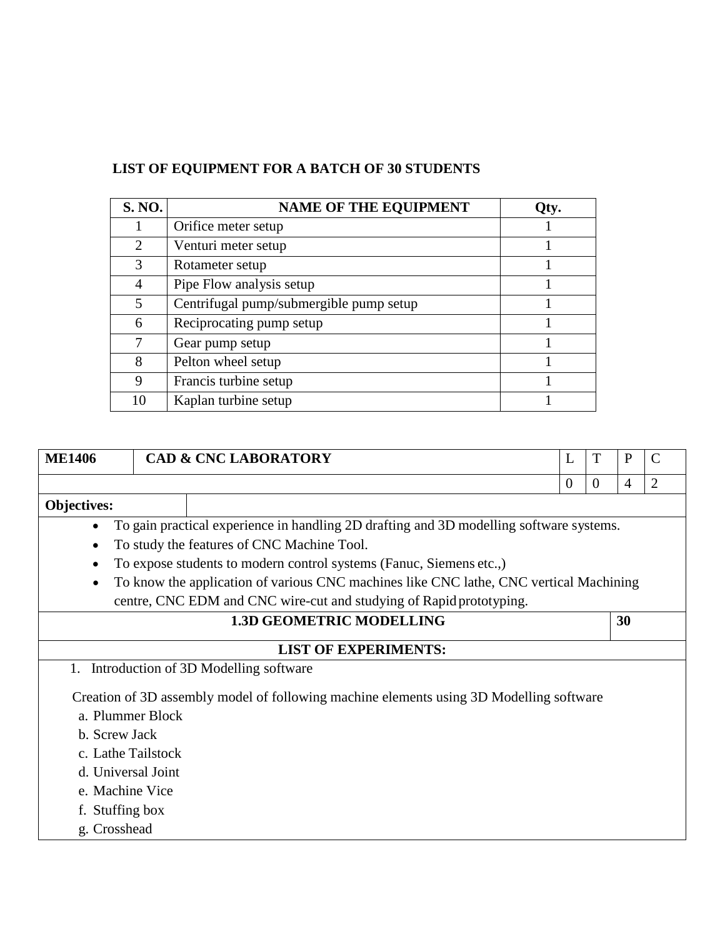# **LIST OF EQUIPMENT FOR A BATCH OF 30 STUDENTS**

| <b>S. NO.</b>               | <b>NAME OF THE EQUIPMENT</b>            | Qty. |
|-----------------------------|-----------------------------------------|------|
|                             | Orifice meter setup                     |      |
| $\mathcal{D}_{\mathcal{L}}$ | Venturi meter setup                     |      |
| 3                           | Rotameter setup                         |      |
| 4                           | Pipe Flow analysis setup                |      |
| 5                           | Centrifugal pump/submergible pump setup |      |
| 6                           | Reciprocating pump setup                |      |
| 7                           | Gear pump setup                         |      |
| 8                           | Pelton wheel setup                      |      |
| 9                           | Francis turbine setup                   |      |
| 10                          | Kaplan turbine setup                    |      |

| <b>ME1406</b>                   |                    | <b>CAD &amp; CNC LABORATORY</b>                                                         |  | L              | T              | $\mathbf{P}$   | $\mathcal{C}$  |
|---------------------------------|--------------------|-----------------------------------------------------------------------------------------|--|----------------|----------------|----------------|----------------|
|                                 |                    |                                                                                         |  | $\overline{0}$ | $\overline{0}$ | $\overline{4}$ | $\overline{2}$ |
| <b>Objectives:</b>              |                    |                                                                                         |  |                |                |                |                |
|                                 |                    | To gain practical experience in handling 2D drafting and 3D modelling software systems. |  |                |                |                |                |
| ٠                               |                    | To study the features of CNC Machine Tool.                                              |  |                |                |                |                |
|                                 |                    | To expose students to modern control systems (Fanuc, Siemens etc.,)                     |  |                |                |                |                |
|                                 |                    | To know the application of various CNC machines like CNC lathe, CNC vertical Machining  |  |                |                |                |                |
|                                 |                    | centre, CNC EDM and CNC wire-cut and studying of Rapid prototyping.                     |  |                |                |                |                |
| <b>1.3D GEOMETRIC MODELLING</b> |                    |                                                                                         |  | 30             |                |                |                |
|                                 |                    | <b>LIST OF EXPERIMENTS:</b>                                                             |  |                |                |                |                |
|                                 |                    | 1. Introduction of 3D Modelling software                                                |  |                |                |                |                |
|                                 |                    | Creation of 3D assembly model of following machine elements using 3D Modelling software |  |                |                |                |                |
| a. Plummer Block                |                    |                                                                                         |  |                |                |                |                |
| b. Screw Jack                   |                    |                                                                                         |  |                |                |                |                |
| c. Lathe Tailstock              |                    |                                                                                         |  |                |                |                |                |
|                                 | d. Universal Joint |                                                                                         |  |                |                |                |                |
| e. Machine Vice                 |                    |                                                                                         |  |                |                |                |                |
| f. Stuffing box                 |                    |                                                                                         |  |                |                |                |                |
| g. Crosshead                    |                    |                                                                                         |  |                |                |                |                |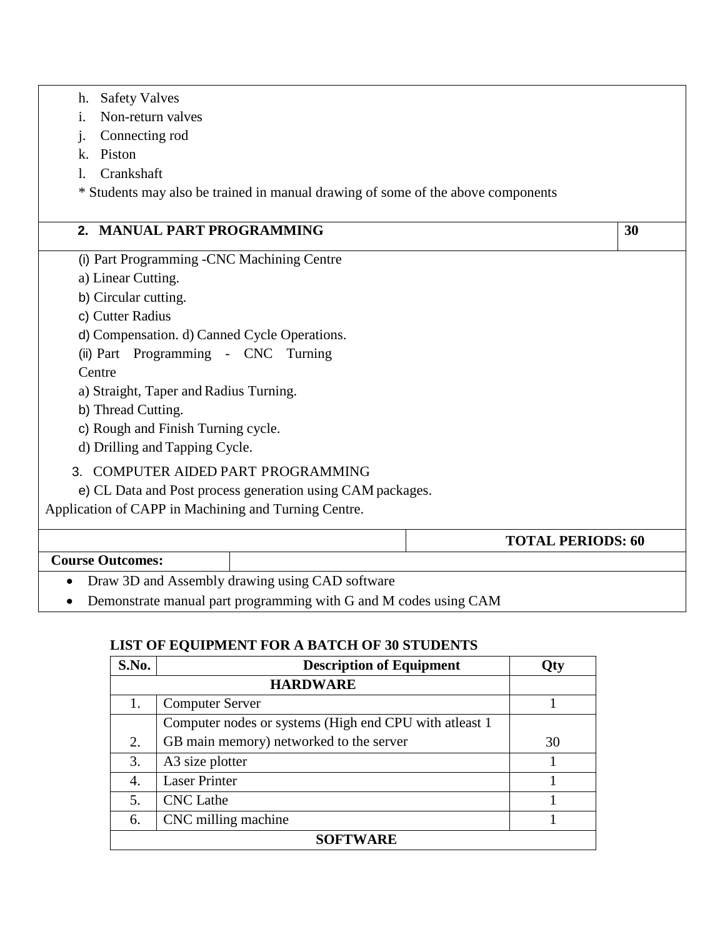| <b>Safety Valves</b><br>h.                                                       |                          |    |
|----------------------------------------------------------------------------------|--------------------------|----|
| Non-return valves<br>$\mathbf{i}$ .                                              |                          |    |
| Connecting rod<br>j.                                                             |                          |    |
| Piston<br>k.                                                                     |                          |    |
| Crankshaft<br>1.                                                                 |                          |    |
| * Students may also be trained in manual drawing of some of the above components |                          |    |
| 2. MANUAL PART PROGRAMMING                                                       |                          | 30 |
| (i) Part Programming -CNC Machining Centre                                       |                          |    |
| a) Linear Cutting.                                                               |                          |    |
| b) Circular cutting.                                                             |                          |    |
| c) Cutter Radius                                                                 |                          |    |
| d) Compensation. d) Canned Cycle Operations.                                     |                          |    |
| (ii) Part Programming - CNC Turning                                              |                          |    |
| Centre                                                                           |                          |    |
| a) Straight, Taper and Radius Turning.                                           |                          |    |
| b) Thread Cutting.                                                               |                          |    |
| c) Rough and Finish Turning cycle.                                               |                          |    |
| d) Drilling and Tapping Cycle.                                                   |                          |    |
| 3. COMPUTER AIDED PART PROGRAMMING                                               |                          |    |
| e) CL Data and Post process generation using CAM packages.                       |                          |    |
| Application of CAPP in Machining and Turning Centre.                             |                          |    |
|                                                                                  | <b>TOTAL PERIODS: 60</b> |    |
| <b>Course Outcomes:</b>                                                          |                          |    |
| Draw 3D and Assembly drawing using CAD software                                  |                          |    |
| Demonstrate manual part programming with G and M codes using CAM                 |                          |    |

## **LIST OF EQUIPMENT FOR A BATCH OF 30 STUDENTS**

| S.No.           | <b>Description of Equipment</b>                          | Qty |  |
|-----------------|----------------------------------------------------------|-----|--|
|                 | <b>HARDWARE</b>                                          |     |  |
| 1.              | <b>Computer Server</b>                                   |     |  |
|                 | Computer nodes or systems (High end CPU with at least 1) |     |  |
| 2.              | GB main memory) networked to the server                  | 30  |  |
| 3.              | A3 size plotter                                          |     |  |
| 4.              | <b>Laser Printer</b>                                     |     |  |
| 5.              | <b>CNC</b> Lathe                                         |     |  |
| 6.              | CNC milling machine                                      |     |  |
| <b>SOFTWARE</b> |                                                          |     |  |